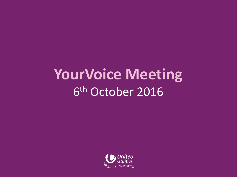## **YourVoice Meeting** 6 th October 2016